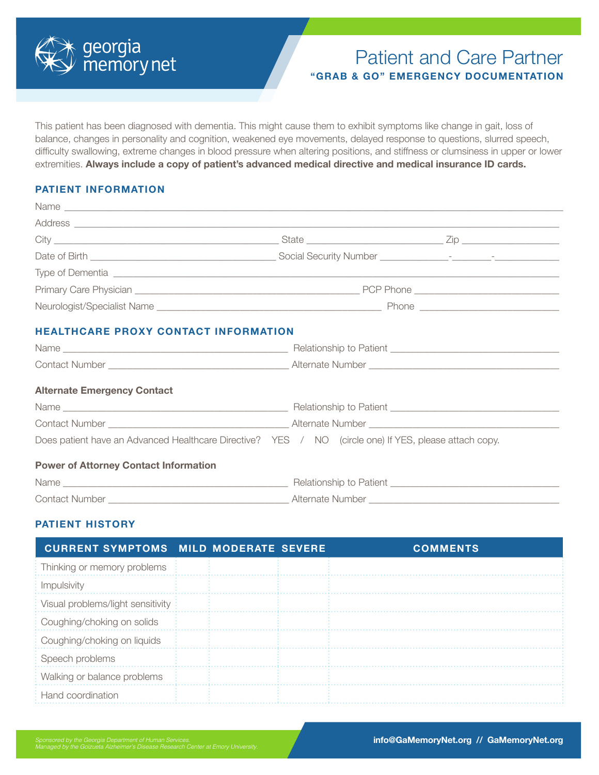

# Patient and Care Partner **"GRAB & GO" EMERGENCY DOCUMENTATION**

This patient has been diagnosed with dementia. This might cause them to exhibit symptoms like change in gait, loss of balance, changes in personality and cognition, weakened eye movements, delayed response to questions, slurred speech, difficulty swallowing, extreme changes in blood pressure when altering positions, and stiffness or clumsiness in upper or lower extremities. **Always include a copy of patient's advanced medical directive and medical insurance ID cards.** 

### **PATIENT INFORMATION**

|                                      | Type of Dementia electron contractor of the contractor of the contractor of the contractor of the contractor of |  |
|--------------------------------------|-----------------------------------------------------------------------------------------------------------------|--|
|                                      |                                                                                                                 |  |
|                                      |                                                                                                                 |  |
| HEALTHCARE PROXY CONTACT INFORMATION |                                                                                                                 |  |
|                                      |                                                                                                                 |  |

| <b>Alternate Emergency Contact</b>                                                                    |  |
|-------------------------------------------------------------------------------------------------------|--|
|                                                                                                       |  |
|                                                                                                       |  |
| Does patient have an Advanced Healthcare Directive? YES / NO (circle one) If YES, please attach copy. |  |
| <b>Power of Attorney Contact Information</b>                                                          |  |
| Name                                                                                                  |  |
|                                                                                                       |  |

Contact Number \_\_\_\_\_\_\_\_\_\_\_\_\_\_\_\_\_\_\_\_\_\_\_\_\_\_\_\_\_\_\_\_\_\_\_\_\_ Alternate Number \_\_\_\_\_\_\_\_\_\_\_\_\_\_\_\_\_\_\_\_\_\_\_\_\_\_\_\_\_\_\_\_\_\_\_\_\_\_\_

# **PATIENT HISTORY**

| <b>CURRENT SYMPTOMS MILD MODERATE SEVERE</b> |  | <b>COMMENTS</b> |
|----------------------------------------------|--|-----------------|
| Thinking or memory problems                  |  |                 |
| Impulsivity                                  |  |                 |
| Visual problems/light sensitivity:           |  |                 |
| Coughing/choking on solids                   |  |                 |
| Coughing/choking on liquids                  |  |                 |
| Speech problems                              |  |                 |
| Walking or balance problems                  |  |                 |
| Hand coordination                            |  |                 |